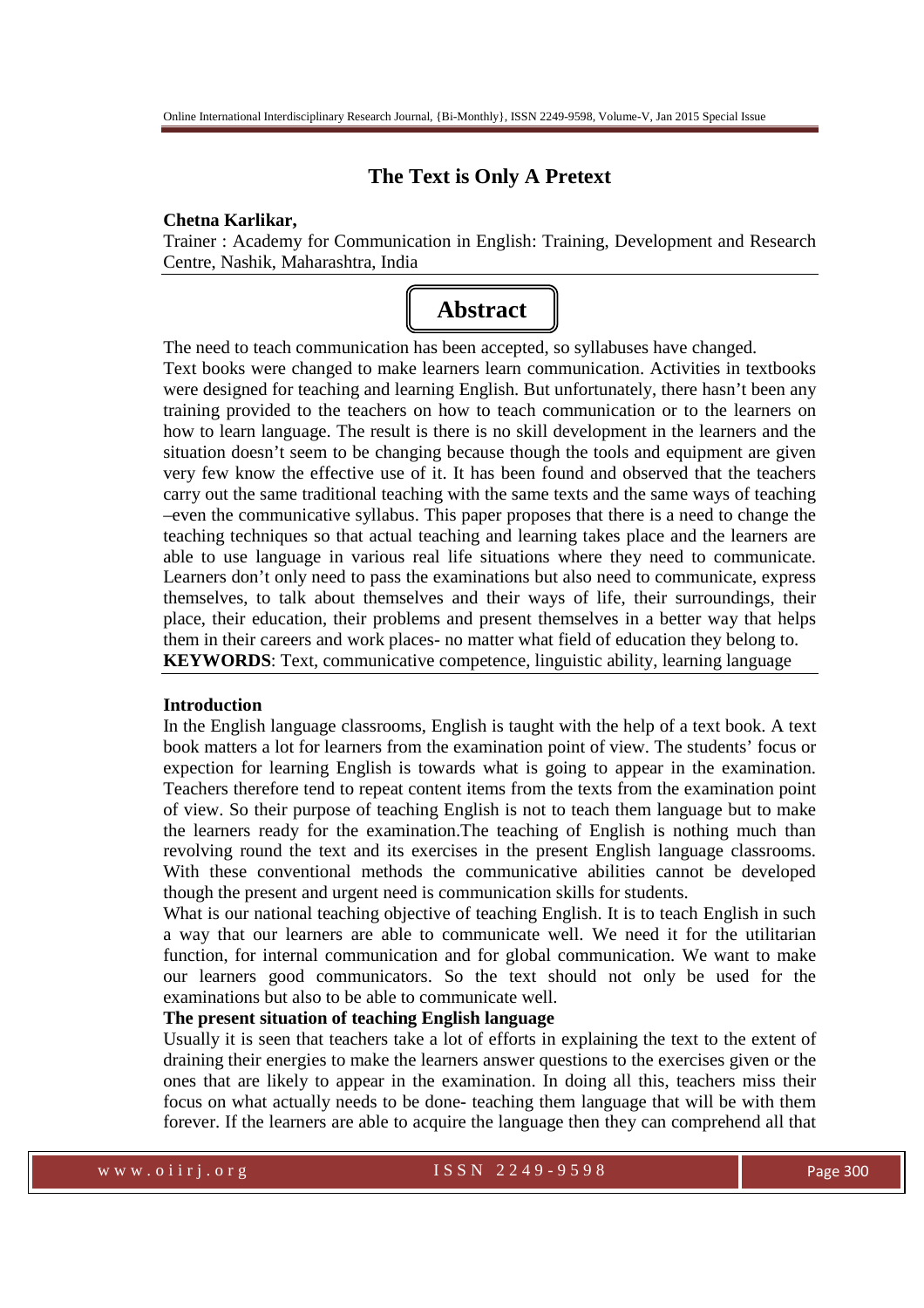# **The Text is Only A Pretext**

#### **Chetna Karlikar,**

Trainer : Academy for Communication in English: Training, Development and Research Centre, Nashik, Maharashtra, India



The need to teach communication has been accepted, so syllabuses have changed.

Text books were changed to make learners learn communication. Activities in textbooks were designed for teaching and learning English. But unfortunately, there hasn't been any training provided to the teachers on how to teach communication or to the learners on how to learn language. The result is there is no skill development in the learners and the situation doesn't seem to be changing because though the tools and equipment are given very few know the effective use of it. It has been found and observed that the teachers carry out the same traditional teaching with the same texts and the same ways of teaching –even the communicative syllabus. This paper proposes that there is a need to change the teaching techniques so that actual teaching and learning takes place and the learners are able to use language in various real life situations where they need to communicate. Learners don't only need to pass the examinations but also need to communicate, express themselves, to talk about themselves and their ways of life, their surroundings, their place, their education, their problems and present themselves in a better way that helps them in their careers and work places- no matter what field of education they belong to. **KEYWORDS**: Text, communicative competence, linguistic ability, learning language

## **Introduction**

In the English language classrooms, English is taught with the help of a text book. A text book matters a lot for learners from the examination point of view. The students' focus or expection for learning English is towards what is going to appear in the examination. Teachers therefore tend to repeat content items from the texts from the examination point of view. So their purpose of teaching English is not to teach them language but to make the learners ready for the examination.The teaching of English is nothing much than revolving round the text and its exercises in the present English language classrooms. With these conventional methods the communicative abilities cannot be developed though the present and urgent need is communication skills for students.

What is our national teaching objective of teaching English. It is to teach English in such a way that our learners are able to communicate well. We need it for the utilitarian function, for internal communication and for global communication. We want to make our learners good communicators. So the text should not only be used for the examinations but also to be able to communicate well.

#### **The present situation of teaching English language**

Usually it is seen that teachers take a lot of efforts in explaining the text to the extent of draining their energies to make the learners answer questions to the exercises given or the ones that are likely to appear in the examination. In doing all this, teachers miss their focus on what actually needs to be done- teaching them language that will be with them forever. If the learners are able to acquire the language then they can comprehend all that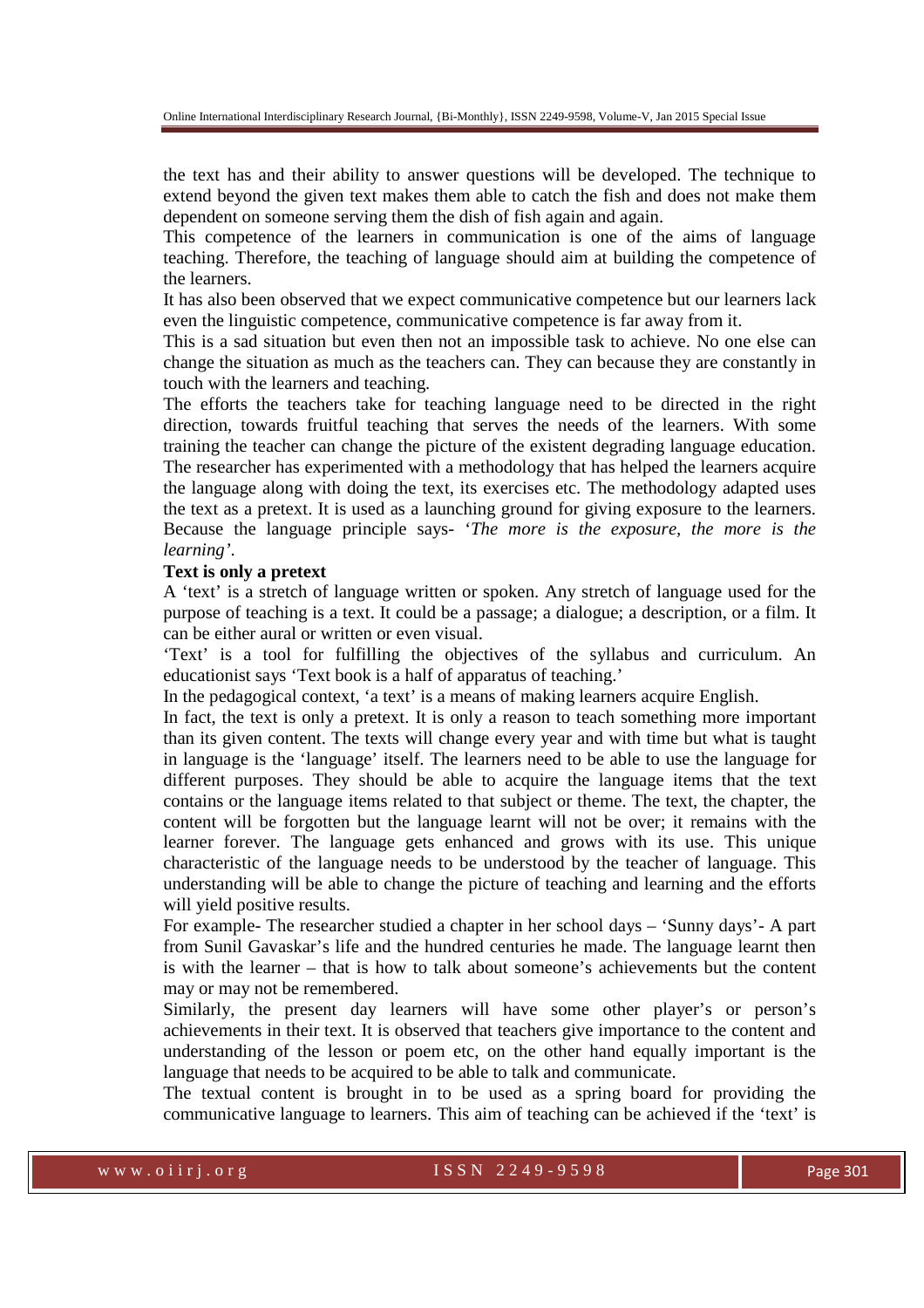the text has and their ability to answer questions will be developed. The technique to extend beyond the given text makes them able to catch the fish and does not make them dependent on someone serving them the dish of fish again and again.

This competence of the learners in communication is one of the aims of language teaching. Therefore, the teaching of language should aim at building the competence of the learners.

It has also been observed that we expect communicative competence but our learners lack even the linguistic competence, communicative competence is far away from it.

This is a sad situation but even then not an impossible task to achieve. No one else can change the situation as much as the teachers can. They can because they are constantly in touch with the learners and teaching.

The efforts the teachers take for teaching language need to be directed in the right direction, towards fruitful teaching that serves the needs of the learners. With some training the teacher can change the picture of the existent degrading language education. The researcher has experimented with a methodology that has helped the learners acquire the language along with doing the text, its exercises etc. The methodology adapted uses the text as a pretext. It is used as a launching ground for giving exposure to the learners. Because the language principle says- '*The more is the exposure, the more is the learning'*.

#### **Text is only a pretext**

A 'text' is a stretch of language written or spoken. Any stretch of language used for the purpose of teaching is a text. It could be a passage; a dialogue; a description, or a film. It can be either aural or written or even visual.

'Text' is a tool for fulfilling the objectives of the syllabus and curriculum. An educationist says 'Text book is a half of apparatus of teaching.'

In the pedagogical context, 'a text' is a means of making learners acquire English.

In fact, the text is only a pretext. It is only a reason to teach something more important than its given content. The texts will change every year and with time but what is taught in language is the 'language' itself. The learners need to be able to use the language for different purposes. They should be able to acquire the language items that the text contains or the language items related to that subject or theme. The text, the chapter, the content will be forgotten but the language learnt will not be over; it remains with the learner forever. The language gets enhanced and grows with its use. This unique characteristic of the language needs to be understood by the teacher of language. This understanding will be able to change the picture of teaching and learning and the efforts will yield positive results.

For example- The researcher studied a chapter in her school days – 'Sunny days'- A part from Sunil Gavaskar's life and the hundred centuries he made. The language learnt then is with the learner – that is how to talk about someone's achievements but the content may or may not be remembered.

Similarly, the present day learners will have some other player's or person's achievements in their text. It is observed that teachers give importance to the content and understanding of the lesson or poem etc, on the other hand equally important is the language that needs to be acquired to be able to talk and communicate.

The textual content is brought in to be used as a spring board for providing the communicative language to learners. This aim of teaching can be achieved if the 'text' is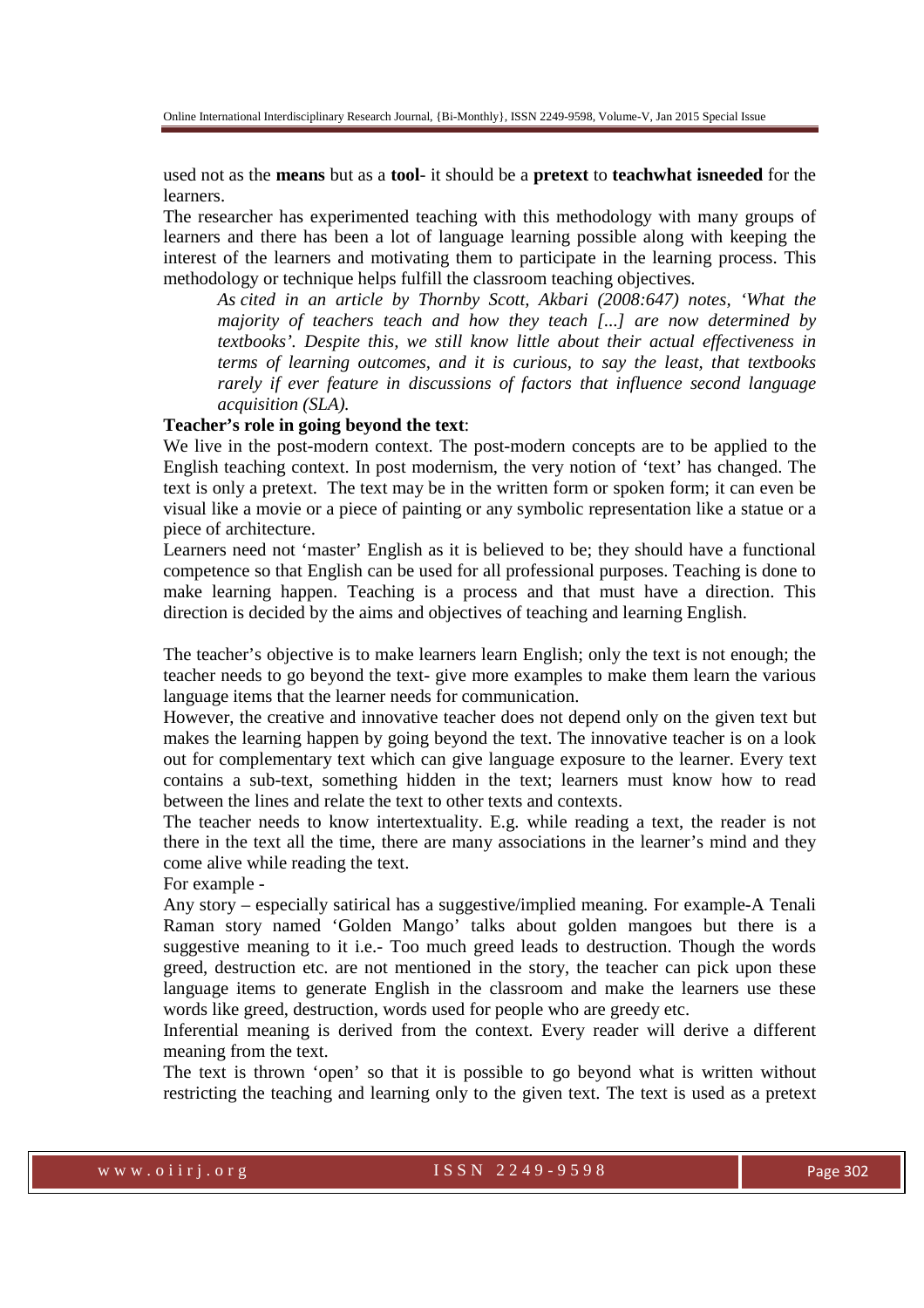used not as the **means** but as a **tool**- it should be a **pretext** to **teachwhat isneeded** for the learners.

The researcher has experimented teaching with this methodology with many groups of learners and there has been a lot of language learning possible along with keeping the interest of the learners and motivating them to participate in the learning process. This methodology or technique helps fulfill the classroom teaching objectives.

*As cited in an article by Thornby Scott, Akbari (2008:647) notes, 'What the majority of teachers teach and how they teach [...] are now determined by textbooks'. Despite this, we still know little about their actual effectiveness in terms of learning outcomes, and it is curious, to say the least, that textbooks rarely if ever feature in discussions of factors that influence second language acquisition (SLA).* 

#### **Teacher's role in going beyond the text**:

We live in the post-modern context. The post-modern concepts are to be applied to the English teaching context. In post modernism, the very notion of 'text' has changed. The text is only a pretext. The text may be in the written form or spoken form; it can even be visual like a movie or a piece of painting or any symbolic representation like a statue or a piece of architecture.

Learners need not 'master' English as it is believed to be; they should have a functional competence so that English can be used for all professional purposes. Teaching is done to make learning happen. Teaching is a process and that must have a direction. This direction is decided by the aims and objectives of teaching and learning English.

The teacher's objective is to make learners learn English; only the text is not enough; the teacher needs to go beyond the text- give more examples to make them learn the various language items that the learner needs for communication.

However, the creative and innovative teacher does not depend only on the given text but makes the learning happen by going beyond the text. The innovative teacher is on a look out for complementary text which can give language exposure to the learner. Every text contains a sub-text, something hidden in the text; learners must know how to read between the lines and relate the text to other texts and contexts.

The teacher needs to know intertextuality. E.g. while reading a text, the reader is not there in the text all the time, there are many associations in the learner's mind and they come alive while reading the text.

For example -

Any story – especially satirical has a suggestive/implied meaning. For example-A Tenali Raman story named 'Golden Mango' talks about golden mangoes but there is a suggestive meaning to it i.e.- Too much greed leads to destruction. Though the words greed, destruction etc. are not mentioned in the story, the teacher can pick upon these language items to generate English in the classroom and make the learners use these words like greed, destruction, words used for people who are greedy etc.

Inferential meaning is derived from the context. Every reader will derive a different meaning from the text.

The text is thrown 'open' so that it is possible to go beyond what is written without restricting the teaching and learning only to the given text. The text is used as a pretext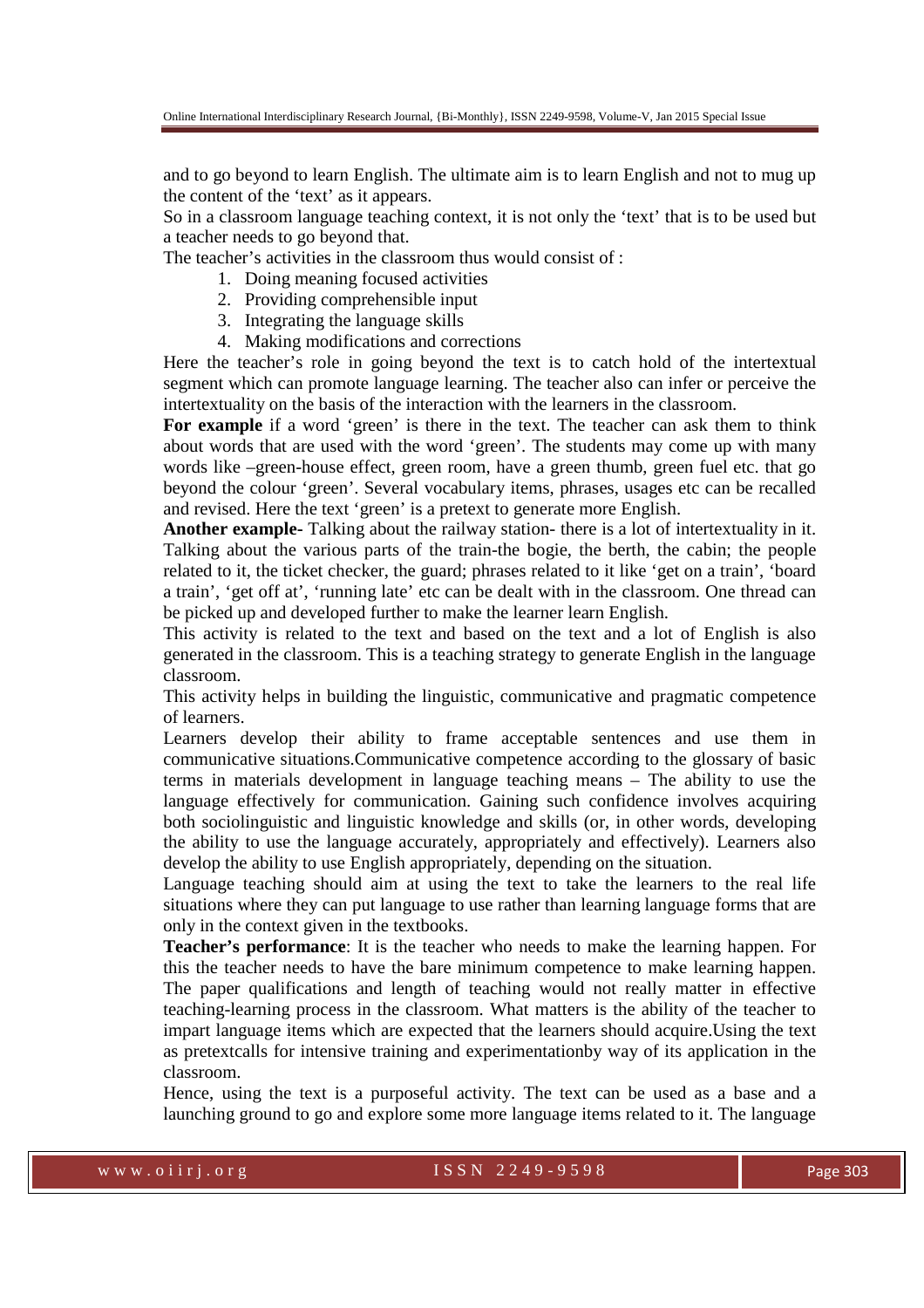and to go beyond to learn English. The ultimate aim is to learn English and not to mug up the content of the 'text' as it appears.

So in a classroom language teaching context, it is not only the 'text' that is to be used but a teacher needs to go beyond that.

The teacher's activities in the classroom thus would consist of :

- 1. Doing meaning focused activities
- 2. Providing comprehensible input
- 3. Integrating the language skills
- 4. Making modifications and corrections

Here the teacher's role in going beyond the text is to catch hold of the intertextual segment which can promote language learning. The teacher also can infer or perceive the intertextuality on the basis of the interaction with the learners in the classroom.

For example if a word 'green' is there in the text. The teacher can ask them to think about words that are used with the word 'green'. The students may come up with many words like –green-house effect, green room, have a green thumb, green fuel etc. that go beyond the colour 'green'. Several vocabulary items, phrases, usages etc can be recalled and revised. Here the text 'green' is a pretext to generate more English.

**Another example-** Talking about the railway station- there is a lot of intertextuality in it. Talking about the various parts of the train-the bogie, the berth, the cabin; the people related to it, the ticket checker, the guard; phrases related to it like 'get on a train', 'board a train', 'get off at', 'running late' etc can be dealt with in the classroom. One thread can be picked up and developed further to make the learner learn English.

This activity is related to the text and based on the text and a lot of English is also generated in the classroom. This is a teaching strategy to generate English in the language classroom.

This activity helps in building the linguistic, communicative and pragmatic competence of learners.

Learners develop their ability to frame acceptable sentences and use them in communicative situations.Communicative competence according to the glossary of basic terms in materials development in language teaching means – The ability to use the language effectively for communication. Gaining such confidence involves acquiring both sociolinguistic and linguistic knowledge and skills (or, in other words, developing the ability to use the language accurately, appropriately and effectively). Learners also develop the ability to use English appropriately, depending on the situation.

Language teaching should aim at using the text to take the learners to the real life situations where they can put language to use rather than learning language forms that are only in the context given in the textbooks.

**Teacher's performance**: It is the teacher who needs to make the learning happen. For this the teacher needs to have the bare minimum competence to make learning happen. The paper qualifications and length of teaching would not really matter in effective teaching-learning process in the classroom. What matters is the ability of the teacher to impart language items which are expected that the learners should acquire.Using the text as pretextcalls for intensive training and experimentationby way of its application in the classroom.

Hence, using the text is a purposeful activity. The text can be used as a base and a launching ground to go and explore some more language items related to it. The language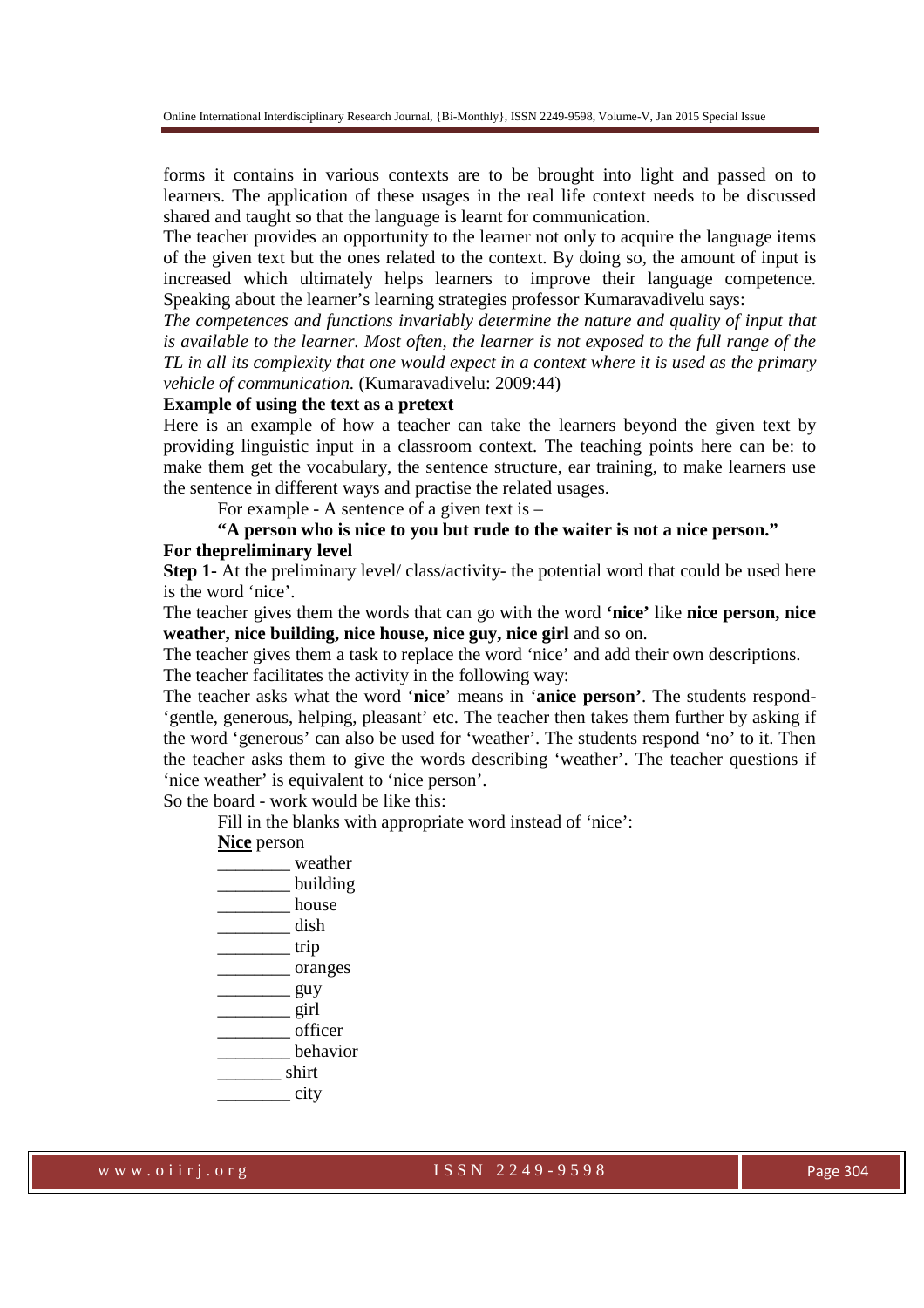forms it contains in various contexts are to be brought into light and passed on to learners. The application of these usages in the real life context needs to be discussed shared and taught so that the language is learnt for communication.

The teacher provides an opportunity to the learner not only to acquire the language items of the given text but the ones related to the context. By doing so, the amount of input is increased which ultimately helps learners to improve their language competence. Speaking about the learner's learning strategies professor Kumaravadivelu says:

*The competences and functions invariably determine the nature and quality of input that is available to the learner. Most often, the learner is not exposed to the full range of the TL in all its complexity that one would expect in a context where it is used as the primary vehicle of communication.* (Kumaravadivelu: 2009:44)

## **Example of using the text as a pretext**

Here is an example of how a teacher can take the learners beyond the given text by providing linguistic input in a classroom context. The teaching points here can be: to make them get the vocabulary, the sentence structure, ear training, to make learners use the sentence in different ways and practise the related usages.

For example - A sentence of a given text is –

# **"A person who is nice to you but rude to the waiter is not a nice person." For thepreliminary level**

**Step 1-** At the preliminary level/ class/activity- the potential word that could be used here is the word 'nice'.

The teacher gives them the words that can go with the word **'nice'** like **nice person, nice weather, nice building, nice house, nice guy, nice girl** and so on.

The teacher gives them a task to replace the word 'nice' and add their own descriptions.

The teacher facilitates the activity in the following way:

The teacher asks what the word '**nice**' means in '**anice person'**. The students respond- 'gentle, generous, helping, pleasant' etc. The teacher then takes them further by asking if the word 'generous' can also be used for 'weather'. The students respond 'no' to it. Then the teacher asks them to give the words describing 'weather'. The teacher questions if 'nice weather' is equivalent to 'nice person'.

So the board - work would be like this:

Fill in the blanks with appropriate word instead of 'nice':

## **Nice** person

\_\_\_\_\_\_\_\_ weather building \_\_\_\_\_\_\_\_ house \_\_\_\_\_\_\_\_ dish \_\_\_\_\_\_\_\_ trip \_\_\_\_\_\_\_\_ oranges  $\frac{g_{\rm UV}}{g_{\rm UV}}$  $\frac{1}{\sqrt{2}}$  girl \_\_\_\_\_\_\_\_ officer \_\_\_\_\_\_\_\_ behavior  $\frac{1}{\sqrt{2}}$  shirt \_\_\_\_\_\_\_\_ city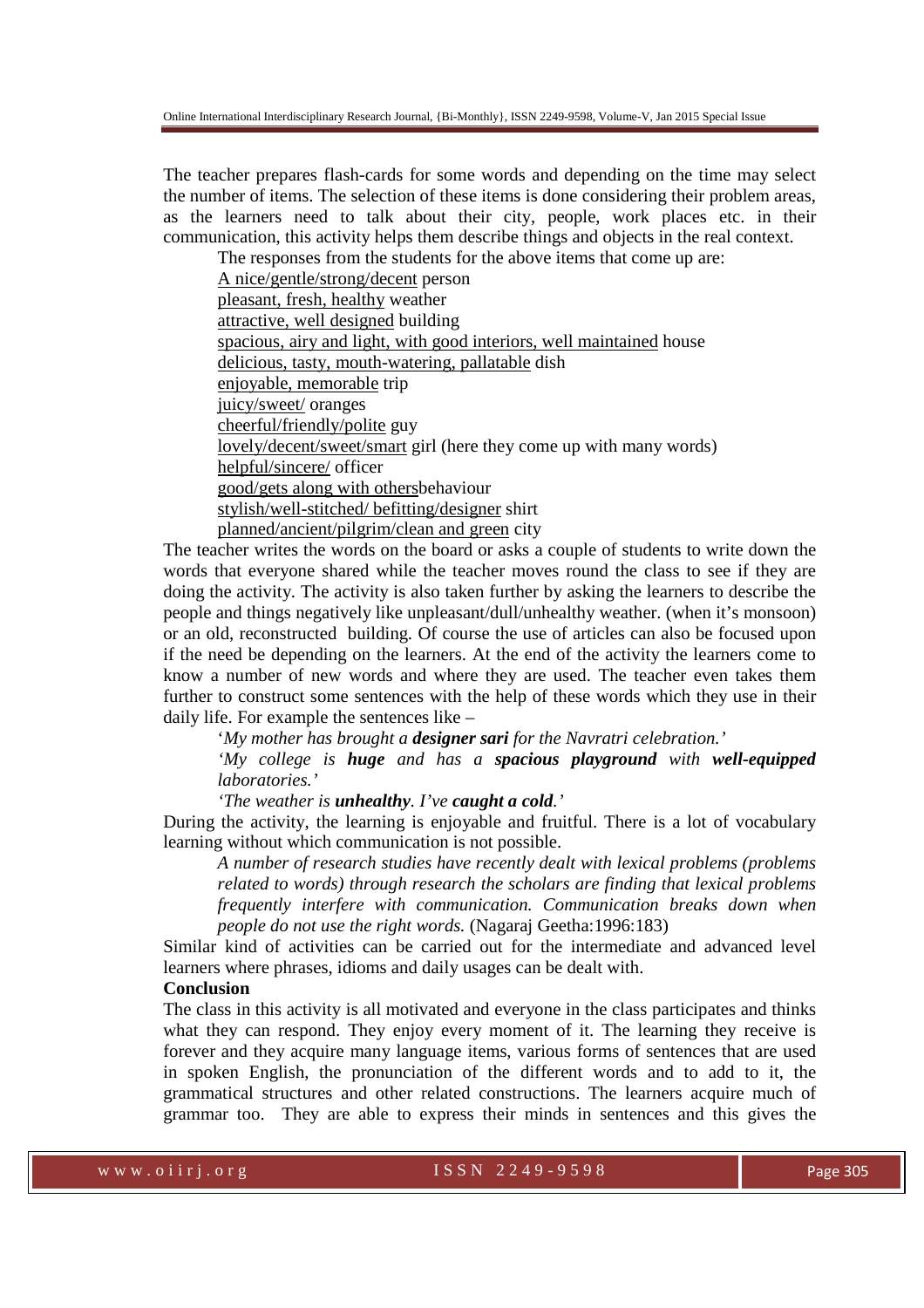The teacher prepares flash-cards for some words and depending on the time may select the number of items. The selection of these items is done considering their problem areas, as the learners need to talk about their city, people, work places etc. in their communication, this activity helps them describe things and objects in the real context.

The responses from the students for the above items that come up are:

A nice/gentle/strong/decent person pleasant, fresh, healthy weather attractive, well designed building spacious, airy and light, with good interiors, well maintained house delicious, tasty, mouth-watering, pallatable dish enjoyable, memorable trip juicy/sweet/ oranges cheerful/friendly/polite guy lovely/decent/sweet/smart girl (here they come up with many words) helpful/sincere/ officer good/gets along with othersbehaviour stylish/well-stitched/ befitting/designer shirt planned/ancient/pilgrim/clean and green city

The teacher writes the words on the board or asks a couple of students to write down the words that everyone shared while the teacher moves round the class to see if they are doing the activity. The activity is also taken further by asking the learners to describe the people and things negatively like unpleasant/dull/unhealthy weather. (when it's monsoon) or an old, reconstructed building. Of course the use of articles can also be focused upon if the need be depending on the learners. At the end of the activity the learners come to know a number of new words and where they are used. The teacher even takes them further to construct some sentences with the help of these words which they use in their daily life. For example the sentences like –

'*My mother has brought a designer sari for the Navratri celebration.'*

*'My college is huge and has a spacious playground with well-equipped laboratories.'* 

*'The weather is unhealthy. I've caught a cold.'* 

During the activity, the learning is enjoyable and fruitful. There is a lot of vocabulary learning without which communication is not possible.

*A number of research studies have recently dealt with lexical problems (problems related to words) through research the scholars are finding that lexical problems frequently interfere with communication. Communication breaks down when people do not use the right words.* (Nagaraj Geetha:1996:183)

Similar kind of activities can be carried out for the intermediate and advanced level learners where phrases, idioms and daily usages can be dealt with.

## **Conclusion**

The class in this activity is all motivated and everyone in the class participates and thinks what they can respond. They enjoy every moment of it. The learning they receive is forever and they acquire many language items, various forms of sentences that are used in spoken English, the pronunciation of the different words and to add to it, the grammatical structures and other related constructions. The learners acquire much of grammar too. They are able to express their minds in sentences and this gives the